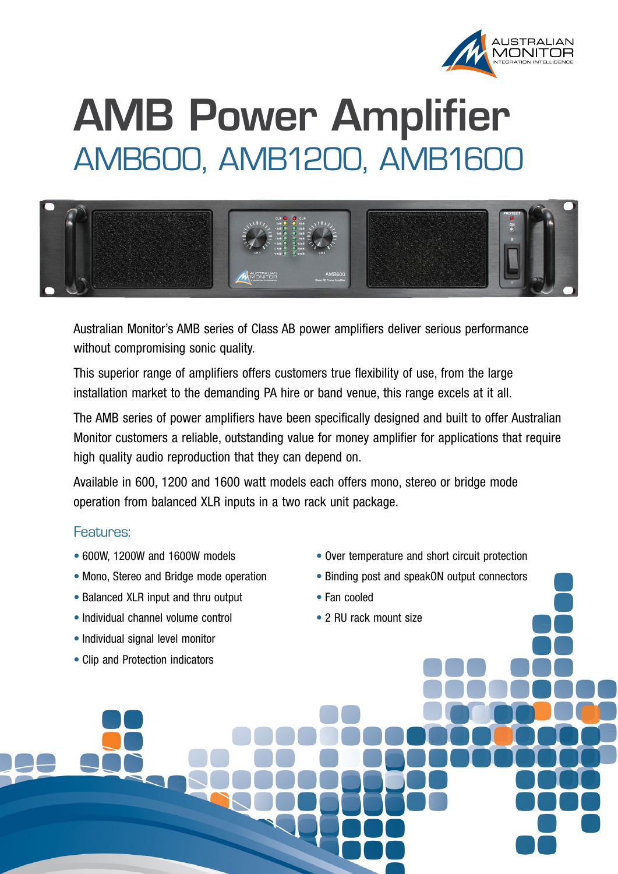

## **AMB Power Amplifier** AMB600, AMB1200, AMB1600



Australian Monitor's AMB series of Class AB power amplifiers deliver serious performance without compromising sonic quality.

This superior range of amplifiers offers customers true flexibility of use, from the large installation market to the demanding PA hire or band venue, this range excels at it all.

The AMB series of power amplifiers have been specifically designed and built to offer Australian Monitor customers a reliable, outstanding value for money amplifier for applications that require high quality audio reproduction that they can depend on.

Available in 600, 1200 and 1600 watt models each offers mono, stereo or bridge mode operation from balanced XLR inputs in a two rack unit package.

## Features:

- 600W, 1200W and 1600W models
- Mono, Stereo and Bridge mode operation
- Balanced XLR input and thru output
- Individual channel volume control
- Individual signal level monitor
- Clip and Protection indicators
- Over temperature and short circuit protection
- Binding post and speakON output connectors
- • Fan cooled
- 2 RU rack mount size